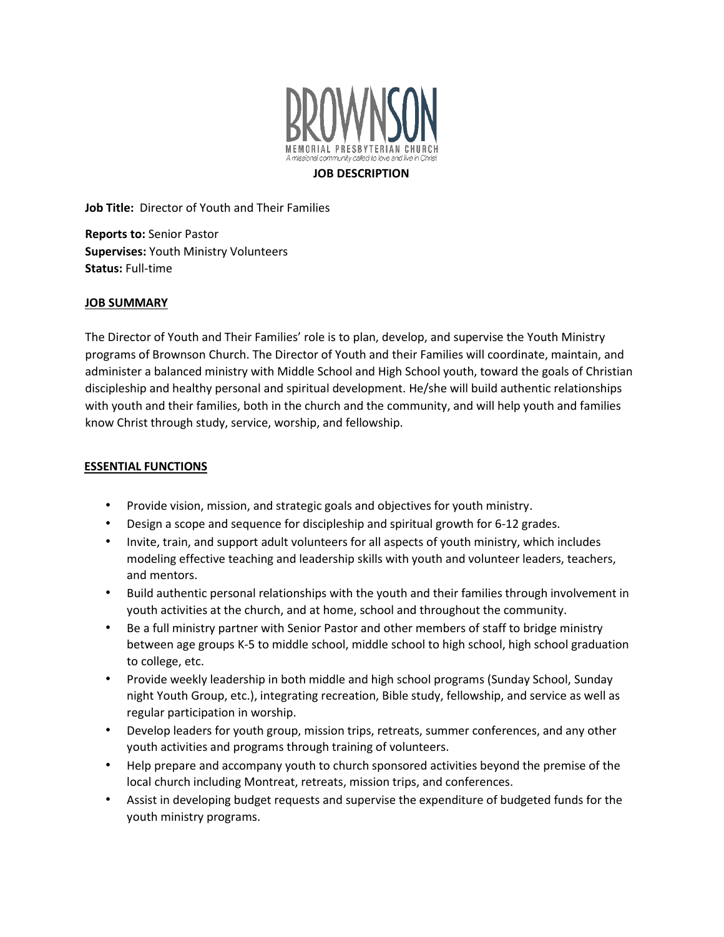

## **JOB DESCRIPTION**

**Job Title:** Director of Youth and Their Families

**Reports to:** Senior Pastor **Supervises:** Youth Ministry Volunteers **Status:** Full-time

## **JOB SUMMARY**

The Director of Youth and Their Families' role is to plan, develop, and supervise the Youth Ministry programs of Brownson Church. The Director of Youth and their Families will coordinate, maintain, and administer a balanced ministry with Middle School and High School youth, toward the goals of Christian discipleship and healthy personal and spiritual development. He/she will build authentic relationships with youth and their families, both in the church and the community, and will help youth and families know Christ through study, service, worship, and fellowship.

## **ESSENTIAL FUNCTIONS**

- Provide vision, mission, and strategic goals and objectives for youth ministry.
- Design a scope and sequence for discipleship and spiritual growth for 6-12 grades.
- Invite, train, and support adult volunteers for all aspects of youth ministry, which includes modeling effective teaching and leadership skills with youth and volunteer leaders, teachers, and mentors.
- Build authentic personal relationships with the youth and their families through involvement in youth activities at the church, and at home, school and throughout the community.
- Be a full ministry partner with Senior Pastor and other members of staff to bridge ministry between age groups K-5 to middle school, middle school to high school, high school graduation to college, etc.
- Provide weekly leadership in both middle and high school programs (Sunday School, Sunday night Youth Group, etc.), integrating recreation, Bible study, fellowship, and service as well as regular participation in worship.
- Develop leaders for youth group, mission trips, retreats, summer conferences, and any other youth activities and programs through training of volunteers.
- Help prepare and accompany youth to church sponsored activities beyond the premise of the local church including Montreat, retreats, mission trips, and conferences.
- Assist in developing budget requests and supervise the expenditure of budgeted funds for the youth ministry programs.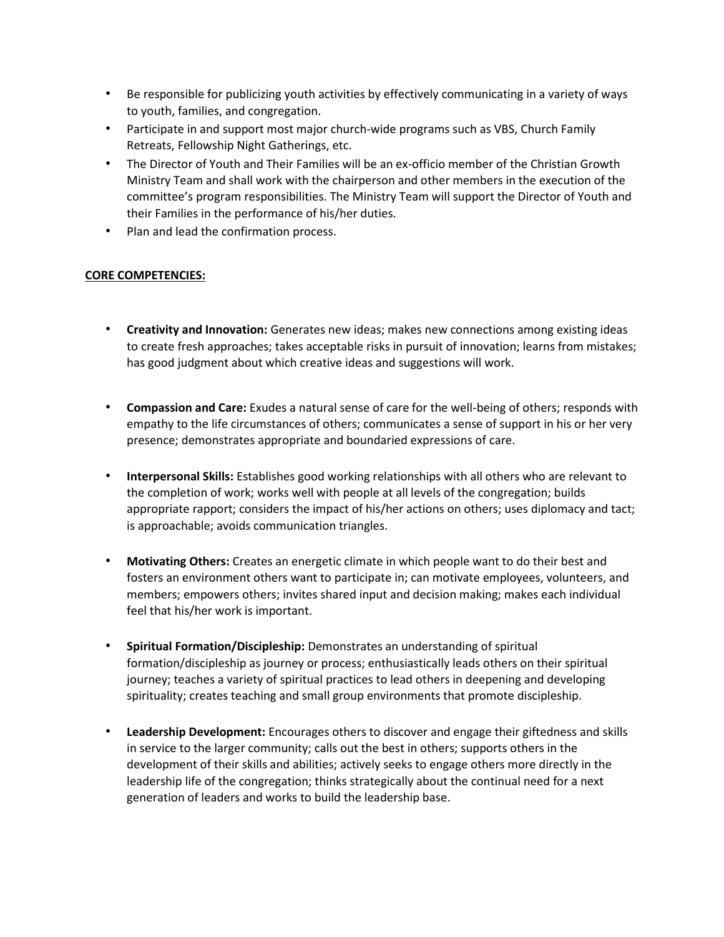- Be responsible for publicizing youth activities by effectively communicating in a variety of ways to youth, families, and congregation.
- Participate in and support most major church-wide programs such as VBS, Church Family Retreats, Fellowship Night Gatherings, etc.
- The Director of Youth and Their Families will be an ex-officio member of the Christian Growth Ministry Team and shall work with the chairperson and other members in the execution of the committee's program responsibilities. The Ministry Team will support the Director of Youth and their Families in the performance of his/her duties.
- Plan and lead the confirmation process.

## **CORE COMPETENCIES:**

- **Creativity and Innovation:** Generates new ideas; makes new connections among existing ideas to create fresh approaches; takes acceptable risks in pursuit of innovation; learns from mistakes; has good judgment about which creative ideas and suggestions will work.
- **Compassion and Care:** Exudes a natural sense of care for the well-being of others; responds with empathy to the life circumstances of others; communicates a sense of support in his or her very presence; demonstrates appropriate and boundaried expressions of care.
- **Interpersonal Skills:** Establishes good working relationships with all others who are relevant to the completion of work; works well with people at all levels of the congregation; builds appropriate rapport; considers the impact of his/her actions on others; uses diplomacy and tact; is approachable; avoids communication triangles.
- **Motivating Others:** Creates an energetic climate in which people want to do their best and fosters an environment others want to participate in; can motivate employees, volunteers, and members; empowers others; invites shared input and decision making; makes each individual feel that his/her work is important.
- **Spiritual Formation/Discipleship:** Demonstrates an understanding of spiritual formation/discipleship as journey or process; enthusiastically leads others on their spiritual journey; teaches a variety of spiritual practices to lead others in deepening and developing spirituality; creates teaching and small group environments that promote discipleship.
- **Leadership Development:** Encourages others to discover and engage their giftedness and skills in service to the larger community; calls out the best in others; supports others in the development of their skills and abilities; actively seeks to engage others more directly in the leadership life of the congregation; thinks strategically about the continual need for a next generation of leaders and works to build the leadership base.